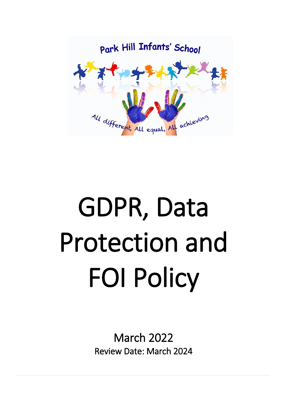

# GDPR, Data Protection and FOI Policy

March 2022 Review Date: March 2024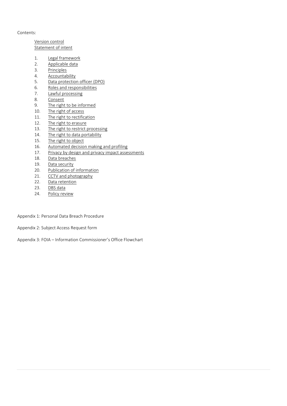Contents:

Version control [Statement of intent](#page-2-0)

- 1. [Legal framework](#page-3-0)
- 2. Applicable data
- 3. Principles
- 4. Accountability
- 5. Data protection officer (DPO)
- 6. Roles and responsibilities
- 7. [Lawful processing](#page-6-0)
- 8. Consent
- 9. The right to be informed
- 10. The right of access<br>11. The right to rectific
- The right to rectification
- 12. The right to erasure
- 13. The right to restrict processing<br>14. The right to data portability
- The right to data portability
- 15. The right to object
- 16. [Automated decision making and profiling](#page-12-0)
- 17. Privacy by design and privacy impact assessments
- 18. Data breaches
- 19. Data security
- 20. Publication of information
- 21. CCTV and photography<br>22. Data retention
- Data retention
- 23. DBS data
- 24. Policy review

Appendix 1: Personal Data Breach Procedure

Appendix 2: Subject Access Request form

Appendix 3: FOIA – Information Commissioner's Office Flowchart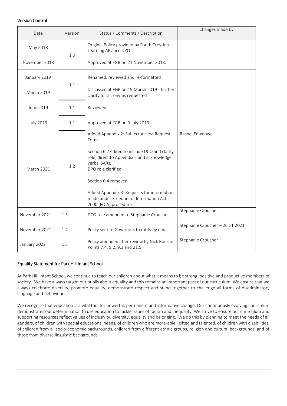## <span id="page-2-0"></span>Version Control

| Date              | Version | Status / Comments / Description                                                                                                                                                                                                                                                                                               | Changes made by                 |
|-------------------|---------|-------------------------------------------------------------------------------------------------------------------------------------------------------------------------------------------------------------------------------------------------------------------------------------------------------------------------------|---------------------------------|
| May 2018          | 1.0     | Original Policy provided by South Croydon<br>Learning Alliance DPO                                                                                                                                                                                                                                                            |                                 |
| November 2018     |         | Approved at FGB on 21 November 2018.                                                                                                                                                                                                                                                                                          |                                 |
| January 2019      | 1.1     | Renamed, reviewed and re-formatted                                                                                                                                                                                                                                                                                            |                                 |
| March 2019        |         | Discussed at FGB on 19 March 2019 - further<br>clarity for acronyms requested                                                                                                                                                                                                                                                 |                                 |
| June 2019         | 1.1     | Reviewed                                                                                                                                                                                                                                                                                                                      |                                 |
| <b>July 2019</b>  | 1.1     | Approved at FGB on 9 July 2019                                                                                                                                                                                                                                                                                                |                                 |
| <b>March 2021</b> | 1.2     | Added Appendix 2: Subject Access Request<br>Form<br>Section 6.2 edited to include DCO and clarify<br>role, direct to Appendix 2 and acknowledge<br>verbal SARs.<br>DPO role clarified.<br>Section 6.4 removed<br>Added Appendix 3: Requests for information<br>made under Freedom of Information Act<br>2000 (FOIA) procedure | Rachel Enwonwu                  |
| November 2021     | 1.3     | DCO role amended to Stephanie Croucher                                                                                                                                                                                                                                                                                        | Stephanie Croucher              |
| November 2021     | 1.4     | Policy sent to Governors to ratify by email                                                                                                                                                                                                                                                                                   | Stephanie Croucher - 26.11.2021 |
| January 2022      | 1.5     | Policy amended after review by Nick Bourne:<br>Points 7.4, 9.2, 9.3 and 21.5                                                                                                                                                                                                                                                  | Stephanie Croucher              |

## Equality Statement for Park Hill Infant School

At Park Hill Infant School, we continue to teach our children about what it means to be strong, positive and productive members of society. We have always taught our pupils about equality and this remains an important part of our curriculum. We ensure that we always celebrate diversity, promote equality, demonstrate respect and stand together to challenge all forms of discriminatory language and behaviour.

We recognise that education is a vital tool for powerful, permanent and informative change. Our continuously evolving curriculum demonstrates our determination to use education to tackle issues of racism and inequality. We strive to ensure our curriculum and supporting resources reflect values of inclusivity, diversity, equality and belonging. We do this by planning to meet the needs of all genders, of children with special educational needs, of children who are more-able, gifted and talented, of children with disabilities, of children from all socio-economic backgrounds, children from different ethnic groups, religion and cultural backgrounds, and of those from diverse linguistic backgrounds.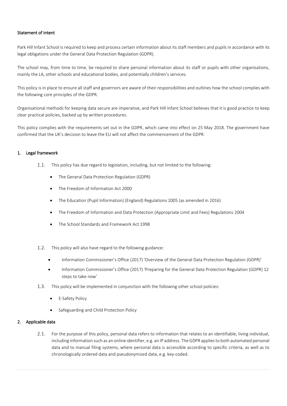## Statement of intent

Park Hill Infant School is required to keep and process certain information about its staff members and pupils in accordance with its legal obligations under the General Data Protection Regulation (GDPR).

The school may, from time to time, be required to share personal information about its staff or pupils with other organisations, mainly the LA, other schools and educational bodies, and potentially children's services.

This policy is in place to ensure all staff and governors are aware of their responsibilities and outlines how the school complies with the following core principles of the GDPR.

Organisational methods for keeping data secure are imperative, and Park Hill Infant School believes that it is good practice to keep clear practical policies, backed up by written procedures.

This policy complies with the requirements set out in the GDPR, which came into effect on 25 May 2018. The government have confirmed that the UK's decision to leave the EU will not affect the commencement of the GDPR.

#### <span id="page-3-0"></span>1. Legal framework

- 1.1. This policy has due regard to legislation, including, but not limited to the following:
	- The General Data Protection Regulation (GDPR)
	- The Freedom of Information Act 2000
	- The Education (Pupil Information) (England) Regulations 2005 (as amended in 2016)
	- The Freedom of Information and Data Protection (Appropriate Limit and Fees) Regulations 2004
	- The School Standards and Framework Act 1998
- 1.2. This policy will also have regard to the following guidance:
	- Information Commissioner's Office (2017) 'Overview of the General Data Protection Regulation (GDPR)'
	- Information Commissioner's Office (2017) 'Preparing for the General Data Protection Regulation (GDPR) 12 steps to take now'
- 1.3. This policy will be implemented in conjunction with the following other school policies:
	- E-Safety Policy
	- Safeguarding and Child Protection Policy

#### 2. Applicable data

2.1. For the purpose of this policy, personal data refers to information that relates to an identifiable, living individual, including information such as an online identifier, e.g. an IP address. The GDPR applies to both automated personal data and to manual filing systems, where personal data is accessible according to specific criteria, as well as to chronologically ordered data and pseudonymised data, e.g. key-coded.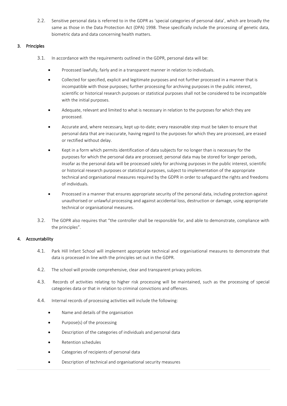2.2. Sensitive personal data is referred to in the GDPR as 'special categories of personal data', which are broadly the same as those in the Data Protection Act (DPA) 1998. These specifically include the processing of genetic data, biometric data and data concerning health matters.

# 3. Principles

- 3.1. In accordance with the requirements outlined in the GDPR, personal data will be:
	- Processed lawfully, fairly and in a transparent manner in relation to individuals.
	- Collected for specified, explicit and legitimate purposes and not further processed in a manner that is incompatible with those purposes; further processing for archiving purposes in the public interest, scientific or historical research purposes or statistical purposes shall not be considered to be incompatible with the initial purposes.
	- Adequate, relevant and limited to what is necessary in relation to the purposes for which they are processed.
	- Accurate and, where necessary, kept up-to-date; every reasonable step must be taken to ensure that personal data that are inaccurate, having regard to the purposes for which they are processed, are erased or rectified without delay.
	- Kept in a form which permits identification of data subjects for no longer than is necessary for the purposes for which the personal data are processed; personal data may be stored for longer periods, insofar as the personal data will be processed solely for archiving purposes in the public interest, scientific or historical research purposes or statistical purposes, subject to implementation of the appropriate technical and organisational measures required by the GDPR in order to safeguard the rights and freedoms of individuals.
	- Processed in a manner that ensures appropriate security of the personal data, including protection against unauthorised or unlawful processing and against accidental loss, destruction or damage, using appropriate technical or organisational measures.
- 3.2. The GDPR also requires that "the controller shall be responsible for, and able to demonstrate, compliance with the principles".

# 4. Accountability

- 4.1. Park Hill Infant School will implement appropriate technical and organisational measures to demonstrate that data is processed in line with the principles set out in the GDPR.
- 4.2. The school will provide comprehensive, clear and transparent privacy policies.
- 4.3. Records of activities relating to higher risk processing will be maintained, such as the processing of special categories data or that in relation to criminal convictions and offences.
- 4.4. Internal records of processing activities will include the following:
	- Name and details of the organisation
	- Purpose(s) of the processing
	- Description of the categories of individuals and personal data
	- Retention schedules
	- Categories of recipients of personal data
	- Description of technical and organisational security measures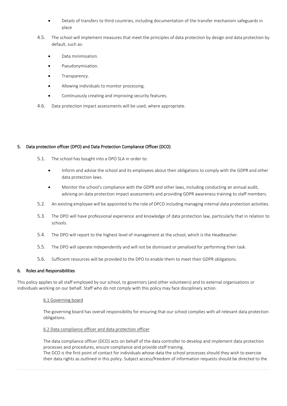- Details of transfers to third countries, including documentation of the transfer mechanism safeguards in place
- 4.5. The school will implement measures that meet the principles of data protection by design and data protection by default, such as:
	- Data minimisation.
	- Pseudonymisation.
	- Transparency.
	- Allowing individuals to monitor processing.
	- Continuously creating and improving security features.
- 4.6. Data protection impact assessments will be used, where appropriate.

## 5. Data protection officer (DPO) and Data Protection Compliance Officer (DCO)

- 5.1. The school has bought into a DPO SLA in order to:
	- Inform and advise the school and its employees about their obligations to comply with the GDPR and other data protection laws.
	- Monitor the school's compliance with the GDPR and other laws, including conducting an annual audit, advising on data protection impact assessments and providing GDPR awareness training to staff members.
- 5.2. An existing employee will be appointed to the role of DPCO including managing internal data protection activities.
- 5.3. The DPO will have professional experience and knowledge of data protection law, particularly that in relation to schools.
- 5.4. The DPO will report to the highest level of management at the school, which is the Headteacher.
- 5.5. The DPO will operate independently and will not be dismissed or penalised for performing their task.
- 5.6. Sufficient resources will be provided to the DPO to enable them to meet their GDPR obligations.

## 6. Roles and Responsibilities

This policy applies to all staff employed by our school, to governors (and other volunteers) and to external organisations or individuals working on our behalf. Staff who do not comply with this policy may face disciplinary action.

## 6.1 Governing board

The governing board has overall responsibility for ensuring that our school complies with all relevant data protection obligations.

## 6.2 Data compliance officer and data protection officer

The data compliance officer (DCO) acts on behalf of the data controller to develop and implement data protection processes and procedures, ensure compliance and provide staff training.

The DCO is the first point of contact for individuals whose data the school processes should they wish to exercise their data rights as outlined in this policy. Subject access/freedom of information requests should be directed to the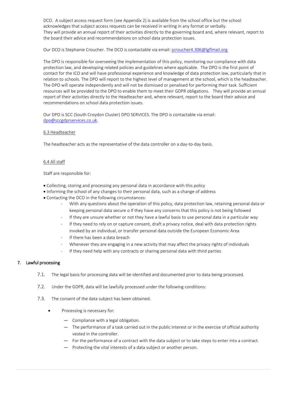DCO. A subject access request form (see Appendix 2) is available from the school office but the school acknowledges that subject access requests can be received in writing in any format or verbally. They will provide an annual report of their activities directly to the governing board and, where relevant, report to the board their advice and recommendations on school data protection issues.

Our DCO is Stephanie Croucher. The DCO is contactable via email: [scroucher4.306@lgflmail.org](mailto:scroucher4.306@lgflmail.org)

The DPO is responsible for overseeing the implementation of this policy, monitoring our compliance with data protection law, and developing related policies and guidelines where applicable. The DPO is the first point of contact for the ICO and will have professional experience and knowledge of data protection law, particularly that in relation to schools. The DPO will report to the highest level of management at the school, which is the headteacher. The DPO will operate independently and will not be dismissed or penalised for performing their task. Sufficient resources will be provided to the DPO to enable them to meet their GDPR obligations. They will provide an annual report of their activities directly to the Headteacher and, where relevant, report to the board their advice and recommendations on school data protection issues.

Our DPO is SCC (South Croydon Cluster) DPO SERVICES. The DPO is contactable via email: [dpo@sccgdprservices.co.uk.](mailto:dpo@sccgdprservices.co.uk) 

#### 6.3 Headteacher

The headteacher acts as the representative of the data controller on a day-to-day basis.

#### 6.4 All staff

Staff are responsible for:

- Collecting, storing and processing any personal data in accordance with this policy
- Informing the school of any changes to their personal data, such as a change of address
- Contacting the DCO in the following circumstances:
	- With any questions about the operation of this policy, data protection law, retaining personal data or keeping personal data secure o If they have any concerns that this policy is not being followed
	- If they are unsure whether or not they have a lawful basis to use personal data in a particular way
	- If they need to rely on or capture consent, draft a privacy notice, deal with data protection rights invoked by an individual, or transfer personal data outside the European Economic Area
	- If there has been a data breach
	- Whenever they are engaging in a new activity that may affect the privacy rights of individuals
	- If they need help with any contracts or sharing personal data with third parties

#### <span id="page-6-0"></span>7. Lawful processing

- 7.1. The legal basis for processing data will be identified and documented prior to data being processed.
- 7.2. Under the GDPR, data will be lawfully processed under the following conditions:
- 7.3. The consent of the data subject has been obtained.
	- Processing is necessary for:
		- Compliance with a legal obligation.
		- The performance of a task carried out in the public interest or in the exercise of official authority vested in the controller.
		- For the performance of a contract with the data subject or to take steps to enter into a contract.
		- Protecting the vital interests of a data subject or another person.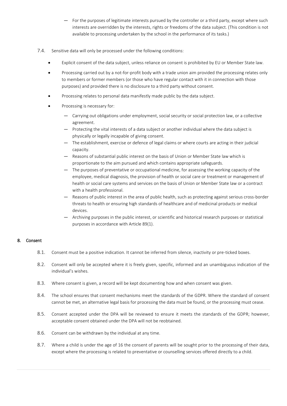- For the purposes of legitimate interests pursued by the controller or a third party, except where such interests are overridden by the interests, rights or freedoms of the data subject. (This condition is not available to processing undertaken by the school in the performance of its tasks.)
- 7.4. Sensitive data will only be processed under the following conditions:
	- Explicit consent of the data subject, unless reliance on consent is prohibited by EU or Member State law.
	- Processing carried out by a not-for-profit body with a trade union aim provided the processing relates only to members or former members (or those who have regular contact with it in connection with those purposes) and provided there is no disclosure to a third party without consent.
	- Processing relates to personal data manifestly made public by the data subject.
	- Processing is necessary for:
		- Carrying out obligations under employment, social security or social protection law, or a collective agreement.
		- Protecting the vital interests of a data subject or another individual where the data subject is physically or legally incapable of giving consent.
		- The establishment, exercise or defence of legal claims or where courts are acting in their judicial capacity.
		- Reasons of substantial public interest on the basis of Union or Member State law which is proportionate to the aim pursued and which contains appropriate safeguards.
		- The purposes of preventative or occupational medicine, for assessing the working capacity of the employee, medical diagnosis, the provision of health or social care or treatment or management of health or social care systems and services on the basis of Union or Member State law or a contract with a health professional.
		- Reasons of public interest in the area of public health, such as protecting against serious cross-border threats to health or ensuring high standards of healthcare and of medicinal products or medical devices.
		- Archiving purposes in the public interest, or scientific and historical research purposes or statistical purposes in accordance with Article 89(1).

## 8. Consent

- 8.1. Consent must be a positive indication. It cannot be inferred from silence, inactivity or pre-ticked boxes.
- 8.2. Consent will only be accepted where it is freely given, specific, informed and an unambiguous indication of the individual's wishes.
- 8.3. Where consent is given, a record will be kept documenting how and when consent was given.
- 8.4. The school ensures that consent mechanisms meet the standards of the GDPR. Where the standard of consent cannot be met, an alternative legal basis for processing the data must be found, or the processing must cease.
- 8.5. Consent accepted under the DPA will be reviewed to ensure it meets the standards of the GDPR; however, acceptable consent obtained under the DPA will not be reobtained.
- 8.6. Consent can be withdrawn by the individual at any time.
- 8.7. Where a child is under the age of 16 the consent of parents will be sought prior to the processing of their data, except where the processing is related to preventative or counselling services offered directly to a child.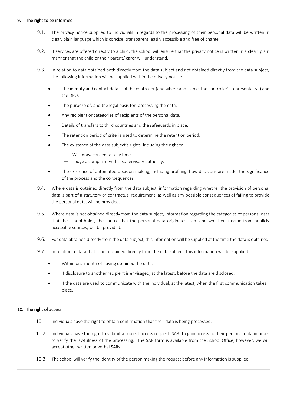## 9. The right to be informed

- 9.1. The privacy notice supplied to individuals in regards to the processing of their personal data will be written in clear, plain language which is concise, transparent, easily accessible and free of charge.
- 9.2. If services are offered directly to a child, the school will ensure that the privacy notice is written in a clear, plain manner that the child or their parent/ carer will understand.
- 9.3. In relation to data obtained both directly from the data subject and not obtained directly from the data subject, the following information will be supplied within the privacy notice:
	- The identity and contact details of the controller (and where applicable, the controller's representative) and the DPO.
	- The purpose of, and the legal basis for, processing the data.
	- Any recipient or categories of recipients of the personal data.
	- Details of transfers to third countries and the safeguards in place.
	- The retention period of criteria used to determine the retention period.
	- The existence of the data subject's rights, including the right to:
		- Withdraw consent at any time.
		- Lodge a complaint with a supervisory authority.
	- The existence of automated decision making, including profiling, how decisions are made, the significance of the process and the consequences.
- 9.4. Where data is obtained directly from the data subject, information regarding whether the provision of personal data is part of a statutory or contractual requirement, as well as any possible consequences of failing to provide the personal data, will be provided.
- 9.5. Where data is not obtained directly from the data subject, information regarding the categories of personal data that the school holds, the source that the personal data originates from and whether it came from publicly accessible sources, will be provided.
- 9.6. For data obtained directly from the data subject, this information will be supplied at the time the data is obtained.
- 9.7. In relation to data that is not obtained directly from the data subject, this information will be supplied:
	- Within one month of having obtained the data.
	- If disclosure to another recipient is envisaged, at the latest, before the data are disclosed.
	- If the data are used to communicate with the individual, at the latest, when the first communication takes place.

## 10. The right of access

- 10.1. Individuals have the right to obtain confirmation that their data is being processed.
- 10.2. Individuals have the right to submit a subject access request (SAR) to gain access to their personal data in order to verify the lawfulness of the processing. The SAR form is available from the School Office, however, we will accept other written or verbal SARs.
- 10.3. The school will verify the identity of the person making the request before any information is supplied.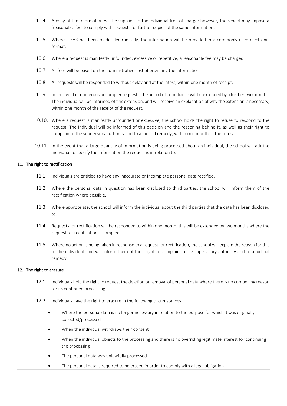- 10.4. A copy of the information will be supplied to the individual free of charge; however, the school may impose a 'reasonable fee' to comply with requests for further copies of the same information.
- 10.5. Where a SAR has been made electronically, the information will be provided in a commonly used electronic format.
- 10.6. Where a request is manifestly unfounded, excessive or repetitive, a reasonable fee may be charged.
- 10.7. All fees will be based on the administrative cost of providing the information.
- 10.8. All requests will be responded to without delay and at the latest, within one month of receipt.
- 10.9. In the event of numerous or complex requests, the period of compliance will be extended by a further two months. The individual will be informed of this extension, and will receive an explanation of why the extension is necessary, within one month of the receipt of the request.
- 10.10. Where a request is manifestly unfounded or excessive, the school holds the right to refuse to respond to the request. The individual will be informed of this decision and the reasoning behind it, as well as their right to complain to the supervisory authority and to a judicial remedy, within one month of the refusal.
- 10.11. In the event that a large quantity of information is being processed about an individual, the school will ask the individual to specify the information the request is in relation to.

#### 11. The right to rectification

- 11.1. Individuals are entitled to have any inaccurate or incomplete personal data rectified.
- 11.2. Where the personal data in question has been disclosed to third parties, the school will inform them of the rectification where possible.
- 11.3. Where appropriate, the school will inform the individual about the third parties that the data has been disclosed to.
- 11.4. Requests for rectification will be responded to within one month; this will be extended by two months where the request for rectification is complex.
- 11.5. Where no action is being taken in response to a request for rectification, the school will explain the reason for this to the individual, and will inform them of their right to complain to the supervisory authority and to a judicial remedy.

#### 12. The right to erasure

- 12.1. Individuals hold the right to request the deletion or removal of personal data where there is no compelling reason for its continued processing.
- 12.2. Individuals have the right to erasure in the following circumstances:
	- Where the personal data is no longer necessary in relation to the purpose for which it was originally collected/processed
	- When the individual withdraws their consent
	- When the individual objects to the processing and there is no overriding legitimate interest for continuing the processing
	- The personal data was unlawfully processed
	- The personal data is required to be erased in order to comply with a legal obligation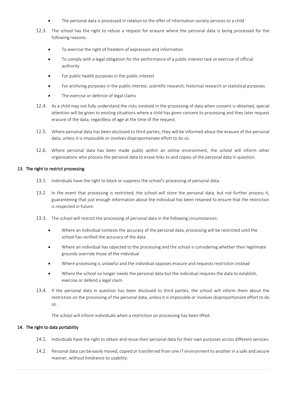- The personal data is processed in relation to the offer of information society services to a child
- 12.3. The school has the right to refuse a request for erasure where the personal data is being processed for the following reasons:
	- To exercise the right of freedom of expression and information
	- To comply with a legal obligation for the performance of a public interest task or exercise of official authority
	- For public health purposes in the public interest
	- For archiving purposes in the public interest, scientific research, historical research or statistical purposes
	- The exercise or defence of legal claims
- 12.4. As a child may not fully understand the risks involved in the processing of data when consent is obtained, special attention will be given to existing situations where a child has given consent to processing and they later request erasure of the data, regardless of age at the time of the request.
- 12.5. Where personal data has been disclosed to third parties, they will be informed about the erasure of the personal data, unless it is impossible or involves disproportionate effort to do so.
- 12.6. Where personal data has been made public within an online environment, the school will inform other organisations who process the personal data to erase links to and copies of the personal data in question.

#### 13. The right to restrict processing

- 13.1. Individuals have the right to block or suppress the school's processing of personal data.
- 13.2. In the event that processing is restricted, the school will store the personal data, but not further process it, guaranteeing that just enough information about the individual has been retained to ensure that the restriction is respected in future.
- 13.3. The school will restrict the processing of personal data in the following circumstances:
	- Where an individual contests the accuracy of the personal data, processing will be restricted until the school has verified the accuracy of the data
	- Where an individual has objected to the processing and the school is considering whether their legitimate grounds override those of the individual
	- Where processing is unlawful and the individual opposes erasure and requests restriction instead
	- Where the school no longer needs the personal data but the individual requires the data to establish, exercise or defend a legal claim
- 13.4. If the personal data in question has been disclosed to third parties, the school will inform them about the restriction on the processing of the personal data, unless it is impossible or involves disproportionate effort to do so.

The school will inform individuals when a restriction on processing has been lifted.

#### 14. The right to data portability

- 14.1. Individuals have the right to obtain and reuse their personal data for their own purposes across different services.
- 14.2. Personal data can be easily moved, copied or transferred from one IT environment to another in a safe and secure manner, without hindrance to usability.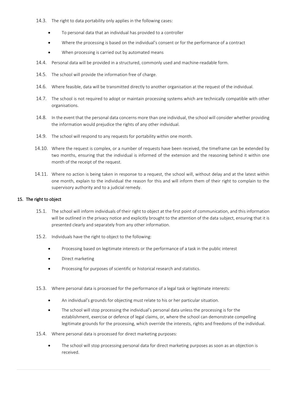- 14.3. The right to data portability only applies in the following cases:
	- To personal data that an individual has provided to a controller
	- Where the processing is based on the individual's consent or for the performance of a contract
	- When processing is carried out by automated means
- 14.4. Personal data will be provided in a structured, commonly used and machine-readable form.
- 14.5. The school will provide the information free of charge.
- 14.6. Where feasible, data will be transmitted directly to another organisation at the request of the individual.
- 14.7. The school is not required to adopt or maintain processing systems which are technically compatible with other organisations.
- 14.8. In the event that the personal data concerns more than one individual, the school will consider whether providing the information would prejudice the rights of any other individual.
- 14.9. The school will respond to any requests for portability within one month.
- 14.10. Where the request is complex, or a number of requests have been received, the timeframe can be extended by two months, ensuring that the individual is informed of the extension and the reasoning behind it within one month of the receipt of the request.
- 14.11. Where no action is being taken in response to a request, the school will, without delay and at the latest within one month, explain to the individual the reason for this and will inform them of their right to complain to the supervisory authority and to a judicial remedy.

## 15. The right to object

- 15.1. The school will inform individuals of their right to object at the first point of communication, and this information will be outlined in the privacy notice and explicitly brought to the attention of the data subject, ensuring that it is presented clearly and separately from any other information.
- 15.2. Individuals have the right to object to the following:
	- Processing based on legitimate interests or the performance of a task in the public interest
	- Direct marketing
	- Processing for purposes of scientific or historical research and statistics.
- 15.3. Where personal data is processed for the performance of a legal task or legitimate interests:
	- An individual's grounds for objecting must relate to his or her particular situation.
	- The school will stop processing the individual's personal data unless the processing is for the establishment, exercise or defence of legal claims, or, where the school can demonstrate compelling legitimate grounds for the processing, which override the interests, rights and freedoms of the individual.
- 15.4. Where personal data is processed for direct marketing purposes:
	- The school will stop processing personal data for direct marketing purposes as soon as an objection is received.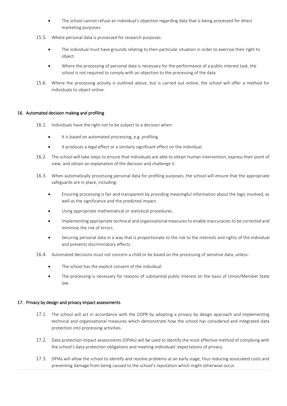- The school cannot refuse an individual's objection regarding data that is being processed for direct marketing purposes.
- 15.5. Where personal data is processed for research purposes:
	- The individual must have grounds relating to their particular situation in order to exercise their right to object.
	- Where the processing of personal data is necessary for the performance of a public interest task, the school is not required to comply with an objection to the processing of the data.
- 15.6. Where the processing activity is outlined above, but is carried out online, the school will offer a method for individuals to object online.

## <span id="page-12-0"></span>16. Automated decision making and profiling

- 16.1. Individuals have the right not to be subject to a decision when:
	- It is based on automated processing, e.g. profiling.
	- It produces a legal effect or a similarly significant effect on the individual.
- 16.2. The school will take steps to ensure that individuals are able to obtain human intervention, express their point of view, and obtain an explanation of the decision and challenge it.
- 16.3. When automatically processing personal data for profiling purposes, the school will ensure that the appropriate safeguards are in place, including:
	- Ensuring processing is fair and transparent by providing meaningful information about the logic involved, as well as the significance and the predicted impact.
	- Using appropriate mathematical or statistical procedures.
	- Implementing appropriate technical and organisational measures to enable inaccuracies to be corrected and minimise the risk of errors.
	- Securing personal data in a way that is proportionate to the risk to the interests and rights of the individual and prevents discriminatory effects.
- 16.4. Automated decisions must not concern a child or be based on the processing of sensitive data, unless:
	- The school has the explicit consent of the individual.
	- The processing is necessary for reasons of substantial public interest on the basis of Union/Member State law.

## 17. Privacy by design and privacy impact assessments

- 17.1. The school will act in accordance with the GDPR by adopting a privacy by design approach and implementing technical and organisational measures which demonstrate how the school has considered and integrated data protection into processing activities.
- 17.2. Data protection impact assessments (DPIAs) will be used to identify the most effective method of complying with the school's data protection obligations and meeting individuals' expectations of privacy.
- 17.3. DPIAs will allow the school to identify and resolve problems at an early stage, thus reducing associated costs and preventing damage from being caused to the school's reputation which might otherwise occur.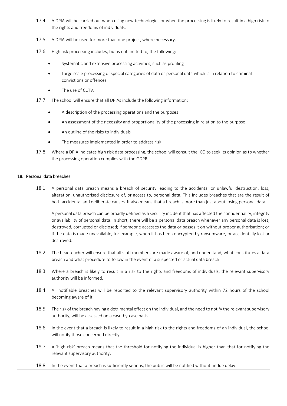- 17.4. A DPIA will be carried out when using new technologies or when the processing is likely to result in a high risk to the rights and freedoms of individuals.
- 17.5. A DPIA will be used for more than one project, where necessary.
- 17.6. High risk processing includes, but is not limited to, the following:
	- Systematic and extensive processing activities, such as profiling
	- Large scale processing of special categories of data or personal data which is in relation to criminal convictions or offences
	- The use of CCTV.
- 17.7. The school will ensure that all DPIAs include the following information:
	- A description of the processing operations and the purposes
	- An assessment of the necessity and proportionality of the processing in relation to the purpose
	- An outline of the risks to individuals
	- The measures implemented in order to address risk
- 17.8. Where a DPIA indicates high risk data processing, the school will consult the ICO to seek its opinion as to whether the processing operation complies with the GDPR.

## 18. Personal data breaches

18.1. A personal data breach means a breach of security leading to the accidental or unlawful destruction, loss, alteration, unauthorised disclosure of, or access to, personal data. This includes breaches that are the result of both accidental and deliberate causes. It also means that a breach is more than just about losing personal data.

A personal data breach can be broadly defined as a security incident that has affected the confidentiality, integrity or availability of personal data. In short, there will be a personal data breach whenever any personal data is lost, destroyed, corrupted or disclosed; if someone accesses the data or passes it on without proper authorisation; or if the data is made unavailable, for example, when it has been encrypted by ransomware, or accidentally lost or destroyed.

- 18.2. The headteacher will ensure that all staff members are made aware of, and understand, what constitutes a data breach and what procedure to follow in the event of a suspected or actual data breach.
- 18.3. Where a breach is likely to result in a risk to the rights and freedoms of individuals, the relevant supervisory authority will be informed.
- 18.4. All notifiable breaches will be reported to the relevant supervisory authority within 72 hours of the school becoming aware of it.
- 18.5. The risk of the breach having a detrimental effect on the individual, and the need to notify the relevant supervisory authority, will be assessed on a case-by-case basis.
- 18.6. In the event that a breach is likely to result in a high risk to the rights and freedoms of an individual, the school will notify those concerned directly.
- 18.7. A 'high risk' breach means that the threshold for notifying the individual is higher than that for notifying the relevant supervisory authority.
- 18.8. In the event that a breach is sufficiently serious, the public will be notified without undue delay.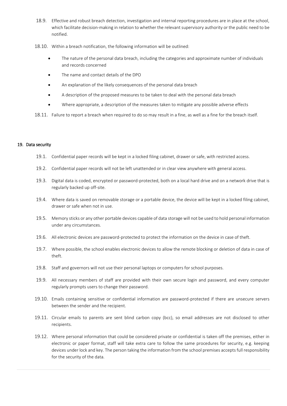- 18.9. Effective and robust breach detection, investigation and internal reporting procedures are in place at the school, which facilitate decision-making in relation to whether the relevant supervisory authority or the public need to be notified.
- 18.10. Within a breach notification, the following information will be outlined:
	- The nature of the personal data breach, including the categories and approximate number of individuals and records concerned
	- The name and contact details of the DPO
	- An explanation of the likely consequences of the personal data breach
	- A description of the proposed measures to be taken to deal with the personal data breach
	- Where appropriate, a description of the measures taken to mitigate any possible adverse effects
- 18.11. Failure to report a breach when required to do so may result in a fine, as well as a fine for the breach itself.

#### 19. Data security

- 19.1. Confidential paper records will be kept in a locked filing cabinet, drawer or safe, with restricted access.
- 19.2. Confidential paper records will not be left unattended or in clear view anywhere with general access.
- 19.3. Digital data is coded, encrypted or password-protected, both on a local hard drive and on a network drive that is regularly backed up off-site.
- 19.4. Where data is saved on removable storage or a portable device, the device will be kept in a locked filing cabinet, drawer or safe when not in use.
- 19.5. Memory sticks or any other portable devices capable of data storage will not be used to hold personal information under any circumstances.
- 19.6. All electronic devices are password-protected to protect the information on the device in case of theft.
- 19.7. Where possible, the school enables electronic devices to allow the remote blocking or deletion of data in case of theft.
- 19.8. Staff and governors will not use their personal laptops or computers for school purposes.
- 19.9. All necessary members of staff are provided with their own secure login and password, and every computer regularly prompts users to change their password.
- 19.10. Emails containing sensitive or confidential information are password-protected if there are unsecure servers between the sender and the recipient.
- 19.11. Circular emails to parents are sent blind carbon copy (bcc), so email addresses are not disclosed to other recipients.
- 19.12. Where personal information that could be considered private or confidential is taken off the premises, either in electronic or paper format, staff will take extra care to follow the same procedures for security, e.g. keeping devices under lock and key. The person taking the information from the school premises accepts full responsibility for the security of the data.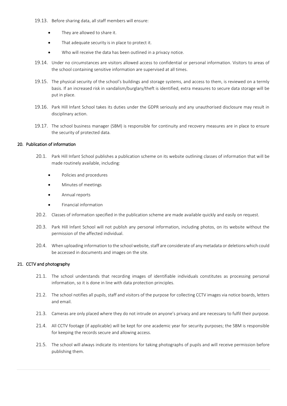- 19.13. Before sharing data, all staff members will ensure:
	- They are allowed to share it.
	- That adequate security is in place to protect it.
	- Who will receive the data has been outlined in a privacy notice.
- 19.14. Under no circumstances are visitors allowed access to confidential or personal information. Visitors to areas of the school containing sensitive information are supervised at all times.
- 19.15. The physical security of the school's buildings and storage systems, and access to them, is reviewed on a termly basis. If an increased risk in vandalism/burglary/theft is identified, extra measures to secure data storage will be put in place.
- 19.16. Park Hill Infant School takes its duties under the GDPR seriously and any unauthorised disclosure may result in disciplinary action.
- 19.17. The school business manager (SBM) is responsible for continuity and recovery measures are in place to ensure the security of protected data.

## 20. Publication of information

- 20.1. Park Hill Infant School publishes a publication scheme on its website outlining classes of information that will be made routinely available, including:
	- Policies and procedures
	- Minutes of meetings
	- Annual reports
	- Financial information
- 20.2. Classes of information specified in the publication scheme are made available quickly and easily on request.
- 20.3. Park Hill Infant School will not publish any personal information, including photos, on its website without the permission of the affected individual.
- 20.4. When uploading information to the school website, staff are considerate of any metadata or deletions which could be accessed in documents and images on the site.

#### 21. CCTV and photography

- 21.1. The school understands that recording images of identifiable individuals constitutes as processing personal information, so it is done in line with data protection principles.
- 21.2. The school notifies all pupils, staff and visitors of the purpose for collecting CCTV images via notice boards, letters and email.
- 21.3. Cameras are only placed where they do not intrude on anyone's privacy and are necessary to fulfil their purpose.
- 21.4. All CCTV footage (if applicable) will be kept for one academic year for security purposes; the SBM is responsible for keeping the records secure and allowing access.
- 21.5. The school will always indicate its intentions for taking photographs of pupils and will receive permission before publishing them.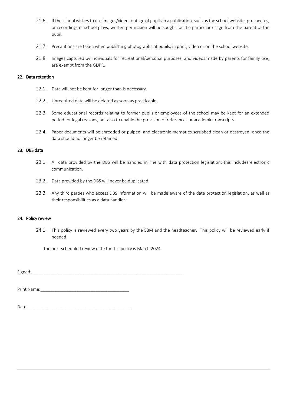- 21.6. If the school wishes to use images/video footage of pupils in a publication, such as the school website, prospectus, or recordings of school plays, written permission will be sought for the particular usage from the parent of the pupil.
- 21.7. Precautions are taken when publishing photographs of pupils, in print, video or on the school website.
- 21.8. Images captured by individuals for recreational/personal purposes, and videos made by parents for family use, are exempt from the GDPR.

## 22. Data retention

- 22.1. Data will not be kept for longer than is necessary.
- 22.2. Unrequired data will be deleted as soon as practicable.
- 22.3. Some educational records relating to former pupils or employees of the school may be kept for an extended period for legal reasons, but also to enable the provision of references or academic transcripts.
- 22.4. Paper documents will be shredded or pulped, and electronic memories scrubbed clean or destroyed, once the data should no longer be retained.

#### 23. DBS data

- 23.1. All data provided by the DBS will be handled in line with data protection legislation; this includes electronic communication.
- 23.2. Data provided by the DBS will never be duplicated.
- 23.3. Any third parties who access DBS information will be made aware of the data protection legislation, as well as their responsibilities as a data handler.

#### 24. Policy review

24.1. This policy is reviewed every two years by the SBM and the headteacher. This policy will be reviewed early if needed.

The next scheduled review date for this policy is March 2024

Signed:\_\_\_\_\_\_\_\_\_\_\_\_\_\_\_\_\_\_\_\_\_\_\_\_\_\_\_\_\_\_\_\_\_\_\_\_\_\_\_\_\_\_\_\_\_\_\_\_\_\_\_\_\_\_\_\_\_\_\_\_\_\_\_

Print Name:

|--|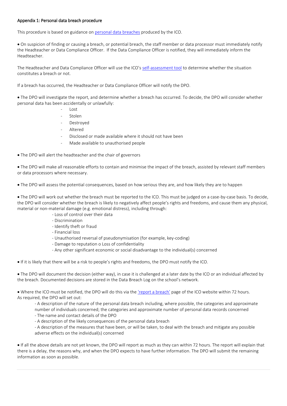## Appendix 1: Personal data breach procedure

This procedure is based on guidance on [personal data breaches](https://ico.org.uk/for-organisations/guide-to-data-protection/guide-to-the-general-data-protection-regulation-gdpr/personal-data-breaches/) produced by the ICO.

• On suspicion of finding or causing a breach, or potential breach, the staff member or data processor must immediately notify the Headteacher or Data Compliance Officer. If the Data Compliance Officer is notified, they will immediately inform the Headteacher.

The Headteacher and Data Compliance Officer will use the ICO's [self-assessment tool](https://ico.org.uk/for-organisations/report-a-breach/pdb-assessment/) to determine whether the situation constitutes a breach or not.

If a breach has occurred, the Headteacher or Data Compliance Officer will notify the DPO.

• The DPO will investigate the report, and determine whether a breach has occurred. To decide, the DPO will consider whether personal data has been accidentally or unlawfully:

- Lost
- **Stolen**
- **Destroyed**
- Altered
- Disclosed or made available where it should not have been
- Made available to unauthorised people

• The DPO will alert the headteacher and the chair of governors

• The DPO will make all reasonable efforts to contain and minimise the impact of the breach, assisted by relevant staff members or data processors where necessary.

• The DPO will assess the potential consequences, based on how serious they are, and how likely they are to happen

• The DPO will work out whether the breach must be reported to the ICO. This must be judged on a case-by-case basis. To decide, the DPO will consider whether the breach is likely to negatively affect people's rights and freedoms, and cause them any physical, material or non-material damage (e.g. emotional distress), including through:

- Loss of control over their data
- Discrimination
- Identify theft or fraud
- Financial loss
- Unauthorised reversal of pseudonymisation (for example, key-coding)
- Damage to reputation o Loss of confidentiality
- Any other significant economic or social disadvantage to the individual(s) concerned

• If it is likely that there will be a risk to people's rights and freedoms, the DPO must notify the ICO.

• The DPO will document the decision (either way), in case it is challenged at a later date by the ICO or an individual affected by the breach. Documented decisions are stored in the Data Breach Log on the school's network.

• Where the ICO must be notified, the DPO will do this via the ['report a breach'](https://ico.org.uk/for-organisations/report-a-breach/) page of the ICO website within 72 hours. As required, the DPO will set out:

- A description of the nature of the personal data breach including, where possible, the categories and approximate number of individuals concerned; the categories and approximate number of personal data records concerned

- The name and contact details of the DPO
- A description of the likely consequences of the personal data breach

- A description of the measures that have been, or will be taken, to deal with the breach and mitigate any possible adverse effects on the individual(s) concerned

• If all the above details are not yet known, the DPO will report as much as they can within 72 hours. The report will explain that there is a delay, the reasons why, and when the DPO expects to have further information. The DPO will submit the remaining information as soon as possible.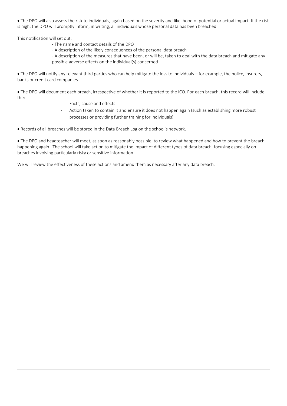• The DPO will also assess the risk to individuals, again based on the severity and likelihood of potential or actual impact. If the risk is high, the DPO will promptly inform, in writing, all individuals whose personal data has been breached.

This notification will set out:

- The name and contact details of the DPO
- A description of the likely consequences of the personal data breach

- A description of the measures that have been, or will be, taken to deal with the data breach and mitigate any possible adverse effects on the individual(s) concerned

• The DPO will notify any relevant third parties who can help mitigate the loss to individuals – for example, the police, insurers, banks or credit card companies

• The DPO will document each breach, irrespective of whether it is reported to the ICO. For each breach, this record will include the:

- Facts, cause and effects
- Action taken to contain it and ensure it does not happen again (such as establishing more robust processes or providing further training for individuals)

• Records of all breaches will be stored in the Data Breach Log on the school's network.

• The DPO and headteacher will meet, as soon as reasonably possible, to review what happened and how to prevent the breach happening again. The school will take action to mitigate the impact of different types of data breach, focusing especially on breaches involving particularly risky or sensitive information.

We will review the effectiveness of these actions and amend them as necessary after any data breach.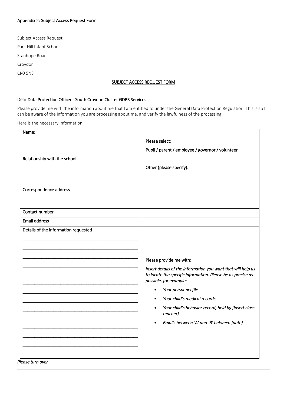# Appendix 2: Subject Access Request Form

Subject Access Request Park Hill Infant School Stanhope Road Croydon CR0 5NS

# SUBJECT ACCESS REQUEST FORM

## Dear Data Protection Officer - South Croydon Cluster GDPR Services

Please provide me with the information about me that I am entitled to under the General Data Protection Regulation. This is so I can be aware of the information you are processing about me, and verify the lawfulness of the processing.

Here is the necessary information:

| Name:                                |                                                                                       |
|--------------------------------------|---------------------------------------------------------------------------------------|
|                                      | Please select:                                                                        |
|                                      | Pupil / parent / employee / governor / volunteer                                      |
| Relationship with the school         |                                                                                       |
|                                      | Other (please specify):                                                               |
|                                      |                                                                                       |
| Correspondence address               |                                                                                       |
|                                      |                                                                                       |
| Contact number                       |                                                                                       |
|                                      |                                                                                       |
| <b>Email address</b>                 |                                                                                       |
| Details of the information requested |                                                                                       |
|                                      |                                                                                       |
|                                      |                                                                                       |
|                                      | Please provide me with:                                                               |
|                                      | Insert details of the information you want that will help us                          |
|                                      | to locate the specific information. Please be as precise as<br>possible, for example: |
|                                      | Your personnel file<br>$\bullet$                                                      |
|                                      | Your child's medical records                                                          |
|                                      | Your child's behavior record, held by [insert class<br>$\bullet$<br>teacher]          |
|                                      | Emails between 'A' and 'B' between [date]<br>$\bullet$                                |
|                                      |                                                                                       |
|                                      |                                                                                       |
|                                      |                                                                                       |
| Please turn over                     |                                                                                       |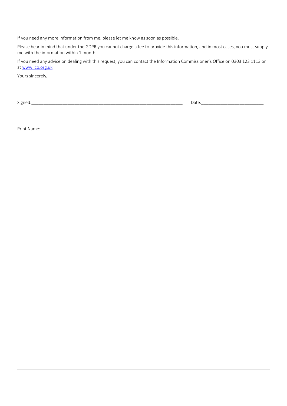If you need any more information from me, please let me know as soon as possible.

Please bear in mind that under the GDPR you cannot charge a fee to provide this information, and in most cases, you must supply me with the information within 1 month.

If you need any advice on dealing with this request, you can contact the Information Commissioner's Office on 0303 123 1113 or at [www.ico.org.uk](http://www.ico.org.uk/)

Yours sincerely,

Signed:\_\_\_\_\_\_\_\_\_\_\_\_\_\_\_\_\_\_\_\_\_\_\_\_\_\_\_\_\_\_\_\_\_\_\_\_\_\_\_\_\_\_\_\_\_\_\_\_\_\_\_\_\_\_\_\_\_\_\_\_\_\_\_ Date:\_\_\_\_\_\_\_\_\_\_\_\_\_\_\_\_\_\_\_\_\_\_\_\_\_\_

Print Name:\_\_\_\_\_\_\_\_\_\_\_\_\_\_\_\_\_\_\_\_\_\_\_\_\_\_\_\_\_\_\_\_\_\_\_\_\_\_\_\_\_\_\_\_\_\_\_\_\_\_\_\_\_\_\_\_\_\_\_\_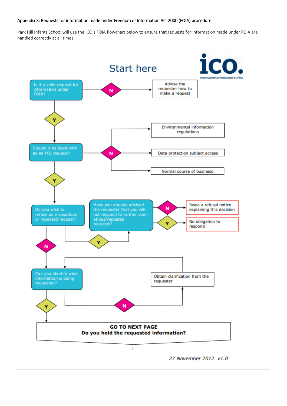#### Appendix 3: Requests for information made under Freedom of Information Act 2000 (FOIA) procedure

Park Hill Infants School will use the ICO's FOIA flowchart below to ensure that requests for information made under FOIA are handled correctly at all times.



27 November 2012 v1.0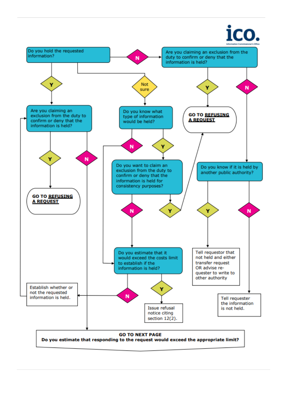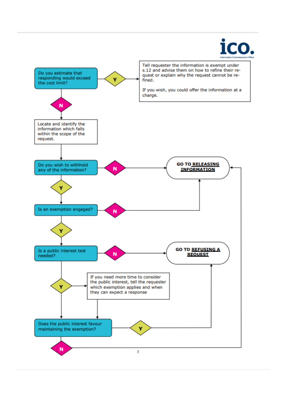